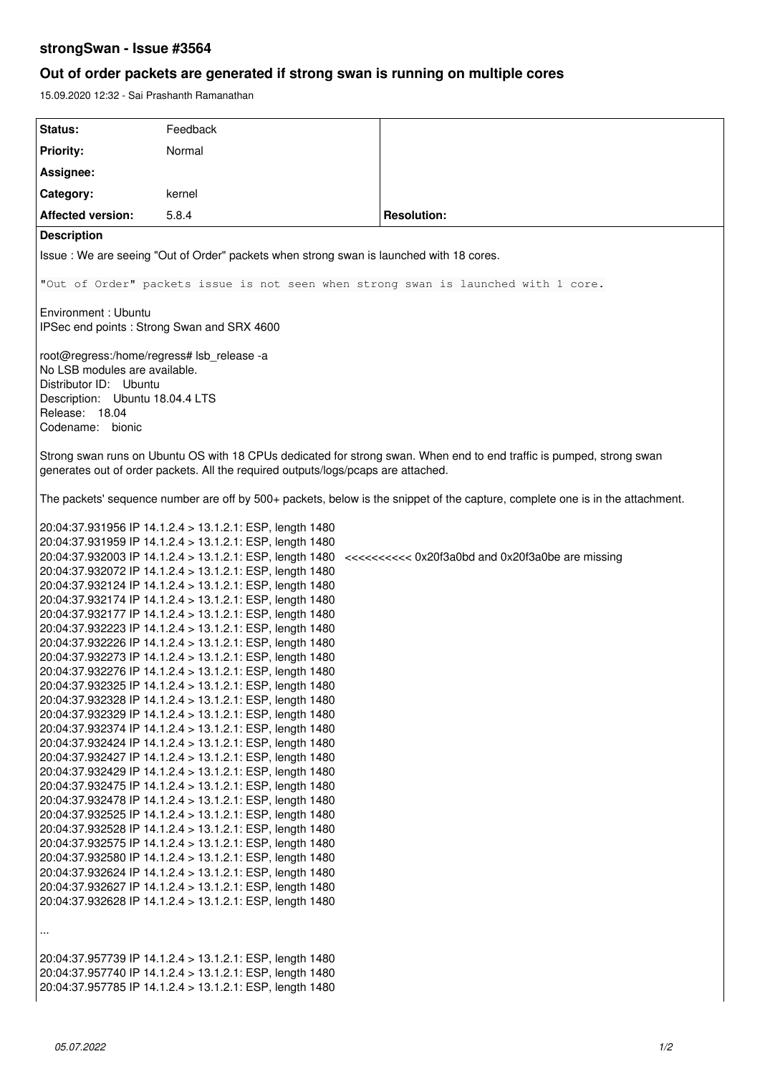# **strongSwan - Issue #3564**

# **Out of order packets are generated if strong swan is running on multiple cores**

15.09.2020 12:32 - Sai Prashanth Ramanathan

| Status:                                                                                                                                                                                                   | Feedback                                                                                                                                                                                                                                                                                                                                                                                                                                                                                                                                                                                                                                                                                                                                                                                                                                                                                                                                                                                                                                                 |                                                                                                         |  |  |  |  |
|-----------------------------------------------------------------------------------------------------------------------------------------------------------------------------------------------------------|----------------------------------------------------------------------------------------------------------------------------------------------------------------------------------------------------------------------------------------------------------------------------------------------------------------------------------------------------------------------------------------------------------------------------------------------------------------------------------------------------------------------------------------------------------------------------------------------------------------------------------------------------------------------------------------------------------------------------------------------------------------------------------------------------------------------------------------------------------------------------------------------------------------------------------------------------------------------------------------------------------------------------------------------------------|---------------------------------------------------------------------------------------------------------|--|--|--|--|
|                                                                                                                                                                                                           | Normal                                                                                                                                                                                                                                                                                                                                                                                                                                                                                                                                                                                                                                                                                                                                                                                                                                                                                                                                                                                                                                                   |                                                                                                         |  |  |  |  |
| <b>Priority:</b>                                                                                                                                                                                          |                                                                                                                                                                                                                                                                                                                                                                                                                                                                                                                                                                                                                                                                                                                                                                                                                                                                                                                                                                                                                                                          |                                                                                                         |  |  |  |  |
| Assignee:                                                                                                                                                                                                 |                                                                                                                                                                                                                                                                                                                                                                                                                                                                                                                                                                                                                                                                                                                                                                                                                                                                                                                                                                                                                                                          |                                                                                                         |  |  |  |  |
| Category:                                                                                                                                                                                                 | kernel                                                                                                                                                                                                                                                                                                                                                                                                                                                                                                                                                                                                                                                                                                                                                                                                                                                                                                                                                                                                                                                   |                                                                                                         |  |  |  |  |
| <b>Affected version:</b>                                                                                                                                                                                  | 5.8.4                                                                                                                                                                                                                                                                                                                                                                                                                                                                                                                                                                                                                                                                                                                                                                                                                                                                                                                                                                                                                                                    | <b>Resolution:</b>                                                                                      |  |  |  |  |
| <b>Description</b>                                                                                                                                                                                        |                                                                                                                                                                                                                                                                                                                                                                                                                                                                                                                                                                                                                                                                                                                                                                                                                                                                                                                                                                                                                                                          |                                                                                                         |  |  |  |  |
| Issue: We are seeing "Out of Order" packets when strong swan is launched with 18 cores.                                                                                                                   |                                                                                                                                                                                                                                                                                                                                                                                                                                                                                                                                                                                                                                                                                                                                                                                                                                                                                                                                                                                                                                                          |                                                                                                         |  |  |  |  |
| "Out of Order" packets issue is not seen when strong swan is launched with 1 core.                                                                                                                        |                                                                                                                                                                                                                                                                                                                                                                                                                                                                                                                                                                                                                                                                                                                                                                                                                                                                                                                                                                                                                                                          |                                                                                                         |  |  |  |  |
| Environment: Ubuntu<br>IPSec end points : Strong Swan and SRX 4600                                                                                                                                        |                                                                                                                                                                                                                                                                                                                                                                                                                                                                                                                                                                                                                                                                                                                                                                                                                                                                                                                                                                                                                                                          |                                                                                                         |  |  |  |  |
| root@regress:/home/regress# lsb_release -a<br>No LSB modules are available.<br>Distributor ID: Ubuntu<br>Description: Ubuntu 18.04.4 LTS<br>Release: 18.04                                                |                                                                                                                                                                                                                                                                                                                                                                                                                                                                                                                                                                                                                                                                                                                                                                                                                                                                                                                                                                                                                                                          |                                                                                                         |  |  |  |  |
| Codename: bionic                                                                                                                                                                                          |                                                                                                                                                                                                                                                                                                                                                                                                                                                                                                                                                                                                                                                                                                                                                                                                                                                                                                                                                                                                                                                          |                                                                                                         |  |  |  |  |
| Strong swan runs on Ubuntu OS with 18 CPUs dedicated for strong swan. When end to end traffic is pumped, strong swan<br>generates out of order packets. All the required outputs/logs/pcaps are attached. |                                                                                                                                                                                                                                                                                                                                                                                                                                                                                                                                                                                                                                                                                                                                                                                                                                                                                                                                                                                                                                                          |                                                                                                         |  |  |  |  |
| The packets' sequence number are off by 500+ packets, below is the snippet of the capture, complete one is in the attachment.                                                                             |                                                                                                                                                                                                                                                                                                                                                                                                                                                                                                                                                                                                                                                                                                                                                                                                                                                                                                                                                                                                                                                          |                                                                                                         |  |  |  |  |
|                                                                                                                                                                                                           | 20:04:37.931959 IP 14.1.2.4 > 13.1.2.1: ESP, length 1480<br>20:04:37.932072 IP 14.1.2.4 > 13.1.2.1: ESP, length 1480<br>20:04:37.932124 IP 14.1.2.4 > 13.1.2.1: ESP, length 1480<br>20:04:37.932174 IP 14.1.2.4 > 13.1.2.1: ESP, length 1480<br>20:04:37.932177 IP 14.1.2.4 > 13.1.2.1: ESP, length 1480<br>20:04:37.932223 IP 14.1.2.4 > 13.1.2.1: ESP, length 1480<br>20:04:37.932226 IP 14.1.2.4 > 13.1.2.1: ESP, length 1480<br>20:04:37.932273 IP 14.1.2.4 > 13.1.2.1: ESP, length 1480<br>20:04:37.932276 IP 14.1.2.4 > 13.1.2.1: ESP, length 1480<br>20:04:37.932325 IP 14.1.2.4 > 13.1.2.1: ESP, length 1480<br>20:04:37.932328 IP 14.1.2.4 > 13.1.2.1: ESP, length 1480<br>20:04:37.932329 IP 14.1.2.4 > 13.1.2.1: ESP, length 1480<br>20:04:37.932374 IP 14.1.2.4 > 13.1.2.1: ESP, length 1480<br>20:04:37.932424 IP 14.1.2.4 > 13.1.2.1: ESP, length 1480<br>20:04:37.932427 IP 14.1.2.4 > 13.1.2.1: ESP, length 1480<br>20:04:37.932429 IP 14.1.2.4 > 13.1.2.1: ESP, length 1480<br>20:04:37.932475 IP 14.1.2.4 > 13.1.2.1: ESP, length 1480 | 20:04:37.932003 IP 14.1.2.4 > 13.1.2.1: ESP, length 1480 <<<<<<<< 0x20f3a0bd and 0x20f3a0be are missing |  |  |  |  |
| $\ddotsc$                                                                                                                                                                                                 | 20:04:37.932478 IP 14.1.2.4 > 13.1.2.1: ESP, length 1480<br>20:04:37.932525 IP 14.1.2.4 > 13.1.2.1: ESP, length 1480<br>20:04:37.932528 IP 14.1.2.4 > 13.1.2.1: ESP, length 1480<br>20:04:37.932575 IP 14.1.2.4 > 13.1.2.1: ESP, length 1480<br>20:04:37.932580 IP 14.1.2.4 > 13.1.2.1: ESP, length 1480<br>20:04:37.932624 IP 14.1.2.4 > 13.1.2.1: ESP, length 1480<br>20:04:37.932627 IP 14.1.2.4 > 13.1.2.1: ESP, length 1480<br>20:04:37.932628 IP 14.1.2.4 > 13.1.2.1: ESP, length 1480                                                                                                                                                                                                                                                                                                                                                                                                                                                                                                                                                             |                                                                                                         |  |  |  |  |
|                                                                                                                                                                                                           | 20:04:37.957739 IP 14.1.2.4 > 13.1.2.1: ESP, length 1480<br>20:04:37.957740 IP 14.1.2.4 > 13.1.2.1: ESP, length 1480<br>20:04:37.957785 IP 14.1.2.4 > 13.1.2.1: ESP, length 1480                                                                                                                                                                                                                                                                                                                                                                                                                                                                                                                                                                                                                                                                                                                                                                                                                                                                         |                                                                                                         |  |  |  |  |